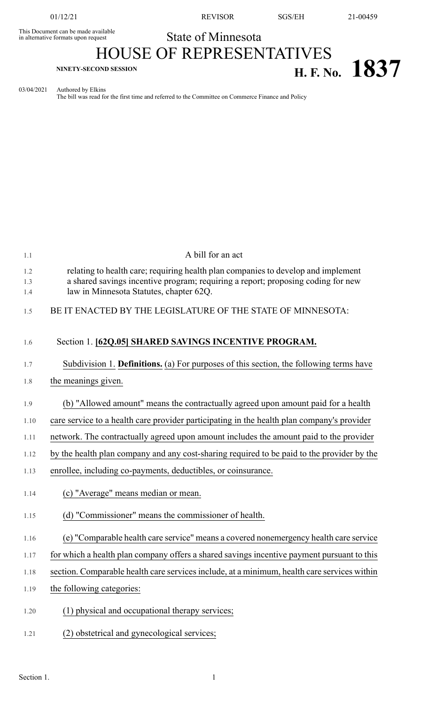This Document can be made available<br>in alternative formats upon request

01/12/21 REVISOR SGS/EH 21-00459

## State of Minnesota

## HOUSE OF REPRESENTATIVES **H. F. No. 1837**

03/04/2021 Authored by Elkins

The bill was read for the first time and referred to the Committee on Commerce Finance and Policy

| 1.1        | A bill for an act                                                                                                                                                     |
|------------|-----------------------------------------------------------------------------------------------------------------------------------------------------------------------|
| 1.2<br>1.3 | relating to health care; requiring health plan companies to develop and implement<br>a shared savings incentive program; requiring a report; proposing coding for new |
| 1.4        | law in Minnesota Statutes, chapter 62Q.                                                                                                                               |
| 1.5        | BE IT ENACTED BY THE LEGISLATURE OF THE STATE OF MINNESOTA:                                                                                                           |
| 1.6        | Section 1. [62Q.05] SHARED SAVINGS INCENTIVE PROGRAM.                                                                                                                 |
| 1.7        | Subdivision 1. Definitions. (a) For purposes of this section, the following terms have                                                                                |
| 1.8        | the meanings given.                                                                                                                                                   |
| 1.9        | (b) "Allowed amount" means the contractually agreed upon amount paid for a health                                                                                     |
| 1.10       | care service to a health care provider participating in the health plan company's provider                                                                            |
| 1.11       | network. The contractually agreed upon amount includes the amount paid to the provider                                                                                |
| 1.12       | by the health plan company and any cost-sharing required to be paid to the provider by the                                                                            |
| 1.13       | enrollee, including co-payments, deductibles, or coinsurance.                                                                                                         |
| 1.14       | (c) "Average" means median or mean.                                                                                                                                   |
| 1.15       | (d) "Commissioner" means the commissioner of health.                                                                                                                  |
| 1.16       | (e) "Comparable health care service" means a covered nonemergency health care service                                                                                 |
| 1.17       | for which a health plan company offers a shared savings incentive payment pursuant to this                                                                            |
| 1.18       | section. Comparable health care services include, at a minimum, health care services within                                                                           |
| 1.19       | the following categories:                                                                                                                                             |
| 1.20       | (1) physical and occupational therapy services;                                                                                                                       |
| 1.21       | (2) obstetrical and gynecological services;                                                                                                                           |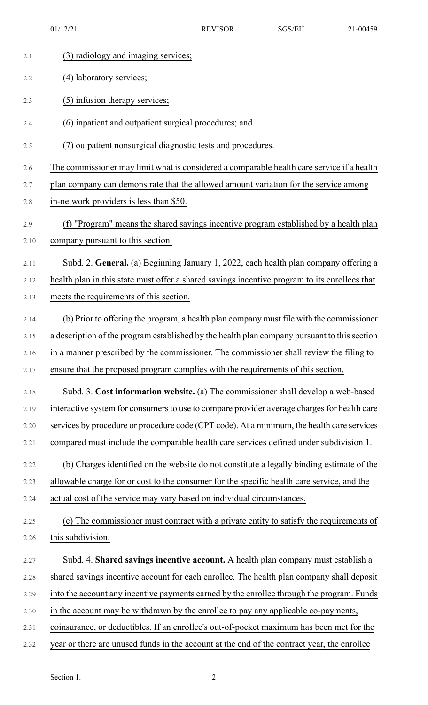01/12/21 REVISOR SGS/EH 21-00459

| 2.1         | (3) radiology and imaging services;                                                                                        |
|-------------|----------------------------------------------------------------------------------------------------------------------------|
| 2.2         | (4) laboratory services;                                                                                                   |
| 2.3         | (5) infusion therapy services;                                                                                             |
| 2.4         | (6) inpatient and outpatient surgical procedures; and                                                                      |
| 2.5         | (7) outpatient nonsurgical diagnostic tests and procedures.                                                                |
| 2.6         | The commissioner may limit what is considered a comparable health care service if a health                                 |
| 2.7         | plan company can demonstrate that the allowed amount variation for the service among                                       |
| 2.8         | in-network providers is less than \$50.                                                                                    |
| 2.9<br>2.10 | (f) "Program" means the shared savings incentive program established by a health plan<br>company pursuant to this section. |
| 2.11        | Subd. 2. General. (a) Beginning January 1, 2022, each health plan company offering a                                       |
| 2.12        | health plan in this state must offer a shared savings incentive program to its enrollees that                              |
| 2.13        | meets the requirements of this section.                                                                                    |
| 2.14        | (b) Prior to offering the program, a health plan company must file with the commissioner                                   |
| 2.15        | a description of the program established by the health plan company pursuant to this section                               |
| 2.16        | in a manner prescribed by the commissioner. The commissioner shall review the filing to                                    |
| 2.17        | ensure that the proposed program complies with the requirements of this section.                                           |
| 2.18        | Subd. 3. Cost information website. (a) The commissioner shall develop a web-based                                          |
| 2.19        | interactive system for consumers to use to compare provider average charges for health care                                |
| 2.20        | services by procedure or procedure code (CPT code). At a minimum, the health care services                                 |
| 2.21        | compared must include the comparable health care services defined under subdivision 1.                                     |
| 2.22        | (b) Charges identified on the website do not constitute a legally binding estimate of the                                  |
| 2.23        | allowable charge for or cost to the consumer for the specific health care service, and the                                 |
| 2.24        | actual cost of the service may vary based on individual circumstances.                                                     |
| 2.25        | (c) The commissioner must contract with a private entity to satisfy the requirements of                                    |
| 2.26        | this subdivision.                                                                                                          |
| 2.27        | Subd. 4. Shared savings incentive account. A health plan company must establish a                                          |
| 2.28        | shared savings incentive account for each enrollee. The health plan company shall deposit                                  |
| 2.29        | into the account any incentive payments earned by the enrollee through the program. Funds                                  |
| 2.30        | in the account may be withdrawn by the enrollee to pay any applicable co-payments,                                         |
| 2.31        | coinsurance, or deductibles. If an enrollee's out-of-pocket maximum has been met for the                                   |
| 2.32        | year or there are unused funds in the account at the end of the contract year, the enrollee                                |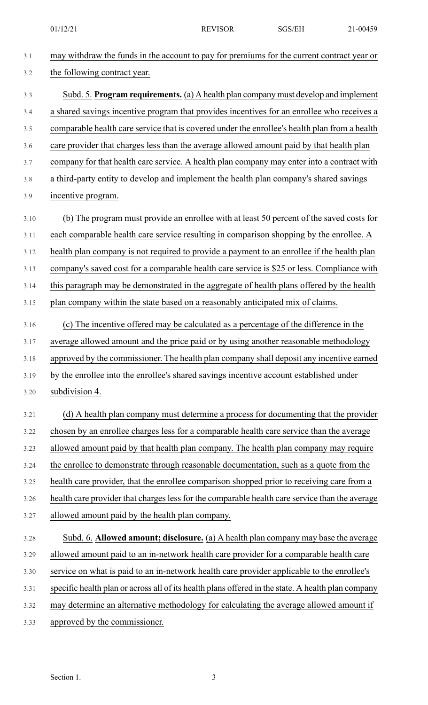01/12/21 REVISOR SGS/EH 21-00459

| 3.1  | may withdraw the funds in the account to pay for premiums for the current contract year or         |
|------|----------------------------------------------------------------------------------------------------|
| 3.2  | the following contract year.                                                                       |
| 3.3  | Subd. 5. Program requirements. (a) A health plan company must develop and implement                |
| 3.4  | a shared savings incentive program that provides incentives for an enrollee who receives a         |
| 3.5  | comparable health care service that is covered under the enrollee's health plan from a health      |
| 3.6  | care provider that charges less than the average allowed amount paid by that health plan           |
| 3.7  | company for that health care service. A health plan company may enter into a contract with         |
| 3.8  | a third-party entity to develop and implement the health plan company's shared savings             |
| 3.9  | incentive program.                                                                                 |
| 3.10 | (b) The program must provide an enrollee with at least 50 percent of the saved costs for           |
| 3.11 | each comparable health care service resulting in comparison shopping by the enrollee. A            |
| 3.12 | health plan company is not required to provide a payment to an enrollee if the health plan         |
| 3.13 | company's saved cost for a comparable health care service is \$25 or less. Compliance with         |
| 3.14 | this paragraph may be demonstrated in the aggregate of health plans offered by the health          |
| 3.15 | plan company within the state based on a reasonably anticipated mix of claims.                     |
| 3.16 | (c) The incentive offered may be calculated as a percentage of the difference in the               |
| 3.17 | average allowed amount and the price paid or by using another reasonable methodology               |
| 3.18 | approved by the commissioner. The health plan company shall deposit any incentive earned           |
| 3.19 | by the enrollee into the enrollee's shared savings incentive account established under             |
| 3.20 | subdivision 4.                                                                                     |
| 3.21 | (d) A health plan company must determine a process for documenting that the provider               |
| 3.22 | chosen by an enrollee charges less for a comparable health care service than the average           |
| 3.23 | allowed amount paid by that health plan company. The health plan company may require               |
| 3.24 | the enrollee to demonstrate through reasonable documentation, such as a quote from the             |
| 3.25 | health care provider, that the enrollee comparison shopped prior to receiving care from a          |
| 3.26 | health care provider that charges less for the comparable health care service than the average     |
| 3.27 | allowed amount paid by the health plan company.                                                    |
| 3.28 | Subd. 6. Allowed amount; disclosure. (a) A health plan company may base the average                |
| 3.29 | allowed amount paid to an in-network health care provider for a comparable health care             |
| 3.30 | service on what is paid to an in-network health care provider applicable to the enrollee's         |
| 3.31 | specific health plan or across all of its health plans offered in the state. A health plan company |
| 3.32 | may determine an alternative methodology for calculating the average allowed amount if             |
| 3.33 | approved by the commissioner.                                                                      |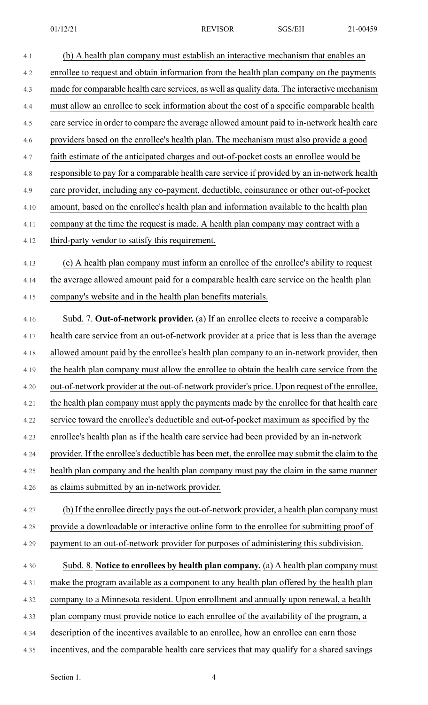- 4.1 (b) A health plan company must establish an interactive mechanism that enables an 4.2 enrollee to request and obtain information from the health plan company on the payments 4.3 made for comparable health care services, as well as quality data. The interactive mechanism 4.4 must allow an enrollee to seek information about the cost of a specific comparable health 4.5 care service in order to compare the average allowed amount paid to in-network health care 4.6 providers based on the enrollee's health plan. The mechanism must also provide a good 4.7 faith estimate of the anticipated charges and out-of-pocket costs an enrollee would be 4.8 responsible to pay for a comparable health care service if provided by an in-network health 4.9 care provider, including any co-payment, deductible, coinsurance or other out-of-pocket 4.10 amount, based on the enrollee's health plan and information available to the health plan 4.11 company at the time the request is made. A health plan company may contract with a 4.12 third-party vendor to satisfy this requirement. 4.13 (c) A health plan company must inform an enrollee of the enrollee's ability to request 4.14 the average allowed amount paid for a comparable health care service on the health plan 4.15 company's website and in the health plan benefits materials. 4.16 Subd. 7. **Out-of-network provider.** (a) If an enrollee elects to receive a comparable 4.17 health care service from an out-of-network provider at a price that is less than the average 4.18 allowed amount paid by the enrollee's health plan company to an in-network provider, then 4.19 the health plan company must allow the enrollee to obtain the health care service from the 4.20 out-of-network provider at the out-of-network provider's price. Upon request of the enrollee, 4.21 the health plan company must apply the payments made by the enrollee for that health care 4.22 service toward the enrollee's deductible and out-of-pocket maximum as specified by the 4.23 enrollee's health plan as if the health care service had been provided by an in-network 4.24 provider. If the enrollee's deductible has been met, the enrollee may submit the claim to the 4.25 health plan company and the health plan company must pay the claim in the same manner 4.26 as claims submitted by an in-network provider. 4.27 (b) If the enrollee directly pays the out-of-network provider, a health plan company must 4.28 provide a downloadable or interactive online form to the enrollee for submitting proof of 4.29 payment to an out-of-network provider for purposes of administering this subdivision. 4.30 Subd. 8. **Notice to enrollees by health plan company.** (a) A health plan company must 4.31 make the program available as a component to any health plan offered by the health plan 4.32 company to a Minnesota resident. Upon enrollment and annually upon renewal, a health 4.33 plan company must provide notice to each enrollee of the availability of the program, a 4.34 description of the incentives available to an enrollee, how an enrollee can earn those
- 4.35 incentives, and the comparable health care services that may qualify for a shared savings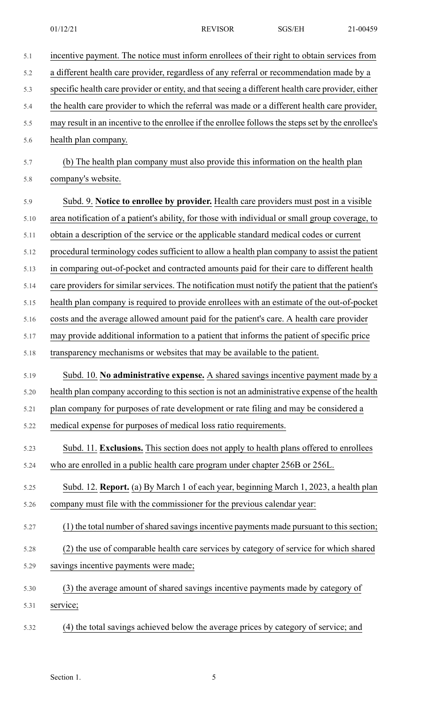| 5.1  | incentive payment. The notice must inform enrollees of their right to obtain services from         |
|------|----------------------------------------------------------------------------------------------------|
| 5.2  | a different health care provider, regardless of any referral or recommendation made by a           |
| 5.3  | specific health care provider or entity, and that seeing a different health care provider, either  |
| 5.4  | the health care provider to which the referral was made or a different health care provider,       |
| 5.5  | may result in an incentive to the enrollee if the enrollee follows the steps set by the enrollee's |
| 5.6  | health plan company.                                                                               |
| 5.7  | (b) The health plan company must also provide this information on the health plan                  |
| 5.8  | company's website.                                                                                 |
| 5.9  | Subd. 9. Notice to enrollee by provider. Health care providers must post in a visible              |
| 5.10 | area notification of a patient's ability, for those with individual or small group coverage, to    |
| 5.11 | obtain a description of the service or the applicable standard medical codes or current            |
| 5.12 | procedural terminology codes sufficient to allow a health plan company to assist the patient       |
| 5.13 | in comparing out-of-pocket and contracted amounts paid for their care to different health          |
| 5.14 | care providers for similar services. The notification must notify the patient that the patient's   |
| 5.15 | health plan company is required to provide enrollees with an estimate of the out-of-pocket         |
| 5.16 | costs and the average allowed amount paid for the patient's care. A health care provider           |
| 5.17 | may provide additional information to a patient that informs the patient of specific price         |
| 5.18 | transparency mechanisms or websites that may be available to the patient.                          |
| 5.19 | Subd. 10. No administrative expense. A shared savings incentive payment made by a                  |
| 5.20 | health plan company according to this section is not an administrative expense of the health       |
| 5.21 | plan company for purposes of rate development or rate filing and may be considered a               |
| 5.22 | medical expense for purposes of medical loss ratio requirements.                                   |
| 5.23 | Subd. 11. Exclusions. This section does not apply to health plans offered to enrollees             |
| 5.24 | who are enrolled in a public health care program under chapter 256B or 256L.                       |
| 5.25 | Subd. 12. Report. (a) By March 1 of each year, beginning March 1, 2023, a health plan              |
| 5.26 | company must file with the commissioner for the previous calendar year:                            |
| 5.27 | (1) the total number of shared savings incentive payments made pursuant to this section;           |
| 5.28 | (2) the use of comparable health care services by category of service for which shared             |
| 5.29 | savings incentive payments were made;                                                              |
| 5.30 | (3) the average amount of shared savings incentive payments made by category of                    |
| 5.31 | service;                                                                                           |
|      |                                                                                                    |

5.32 (4) the total savings achieved below the average prices by category of service; and